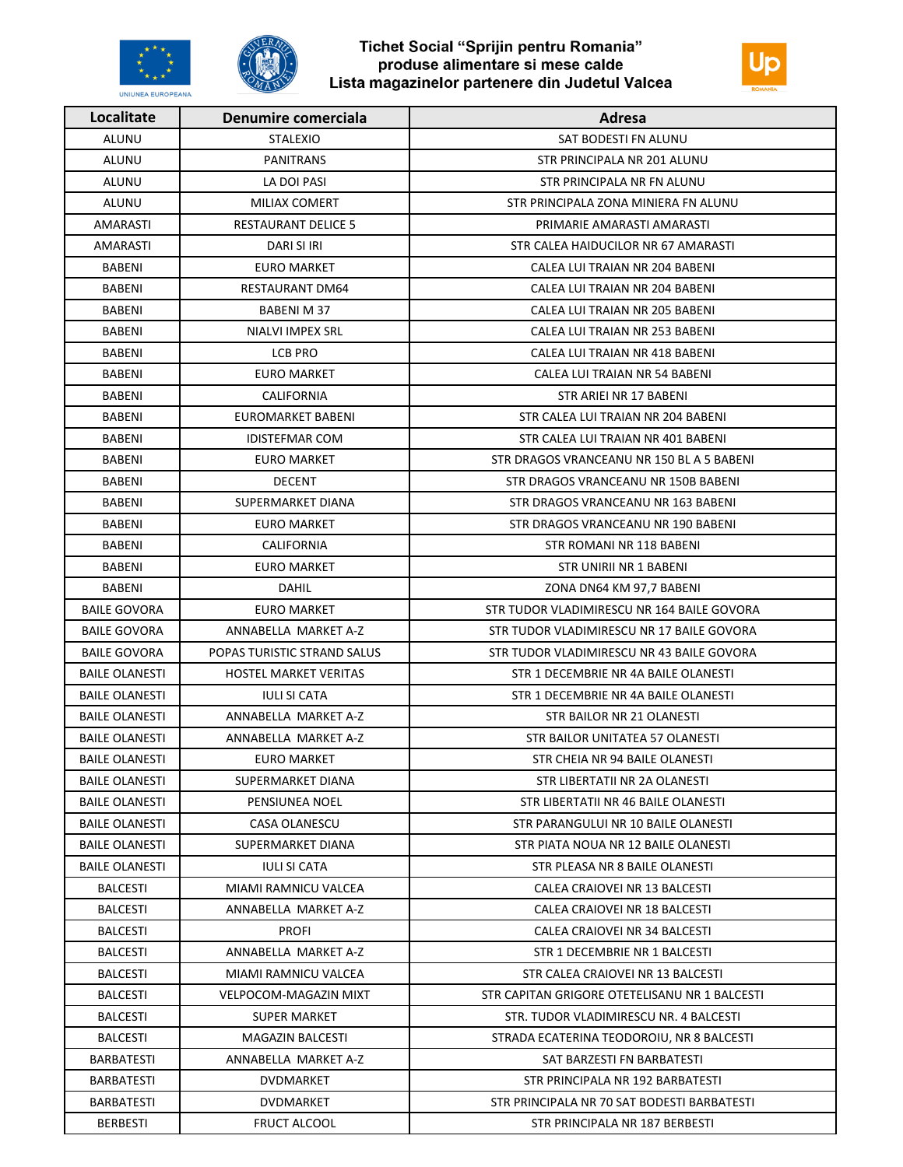



| Localitate            | Denumire comerciala          | Adresa                                        |
|-----------------------|------------------------------|-----------------------------------------------|
| ALUNU                 | <b>STALEXIO</b>              | SAT BODESTI FN ALUNU                          |
| ALUNU                 | <b>PANITRANS</b>             | STR PRINCIPALA NR 201 ALUNU                   |
| <b>ALUNU</b>          | LA DOI PASI                  | STR PRINCIPALA NR FN ALUNU                    |
| ALUNU                 | MILIAX COMERT                | STR PRINCIPALA ZONA MINIERA FN ALUNU          |
| AMARASTI              | <b>RESTAURANT DELICE 5</b>   | PRIMARIE AMARASTI AMARASTI                    |
| AMARASTI              | DARI SI IRI                  | STR CALEA HAIDUCILOR NR 67 AMARASTI           |
| BABENI                | EURO MARKET                  | CALEA LUI TRAIAN NR 204 BABENI                |
| BABENI                | RESTAURANT DM64              | CALEA LUI TRAIAN NR 204 BABENI                |
| BABENI                | BABENI M 37                  | CALEA LUI TRAIAN NR 205 BABENI                |
| BABENI                | NIALVI IMPEX SRL             | CALEA LUI TRAIAN NR 253 BABENI                |
| <b>BABENI</b>         | LCB PRO                      | CALEA LUI TRAIAN NR 418 BABENI                |
| BABENI                | <b>EURO MARKET</b>           | CALEA LUI TRAIAN NR 54 BABENI                 |
| BABENI                | CALIFORNIA                   | STR ARIEI NR 17 BABENI                        |
| BABENI                | EUROMARKET BABENI            | STR CALEA LUI TRAIAN NR 204 BABENI            |
| BABENI                | <b>IDISTEFMAR COM</b>        | STR CALEA LUI TRAIAN NR 401 BABENI            |
| <b>BABENI</b>         | <b>EURO MARKET</b>           | STR DRAGOS VRANCEANU NR 150 BL A 5 BABENI     |
| BABENI                | <b>DECENT</b>                | STR DRAGOS VRANCEANU NR 150B BABENI           |
| BABENI                | SUPERMARKET DIANA            | STR DRAGOS VRANCEANU NR 163 BABENI            |
| BABENI                | <b>EURO MARKET</b>           | STR DRAGOS VRANCEANU NR 190 BABENI            |
| BABENI                | CALIFORNIA                   | STR ROMANI NR 118 BABENI                      |
| BABENI                | EURO MARKET                  | STR UNIRII NR 1 BABENI                        |
| BABENI                | DAHIL                        | ZONA DN64 KM 97,7 BABENI                      |
| <b>BAILE GOVORA</b>   | EURO MARKET                  | STR TUDOR VLADIMIRESCU NR 164 BAILE GOVORA    |
| <b>BAILE GOVORA</b>   | ANNABELLA MARKET A-Z         | STR TUDOR VLADIMIRESCU NR 17 BAILE GOVORA     |
| <b>BAILE GOVORA</b>   | POPAS TURISTIC STRAND SALUS  | STR TUDOR VLADIMIRESCU NR 43 BAILE GOVORA     |
| <b>BAILE OLANESTI</b> | <b>HOSTEL MARKET VERITAS</b> | STR 1 DECEMBRIE NR 4A BAILE OLANESTI          |
| <b>BAILE OLANESTI</b> | <b>IULI SI CATA</b>          | STR 1 DECEMBRIE NR 4A BAILE OLANESTI          |
| <b>BAILE OLANESTI</b> | ANNABELLA MARKET A-Z         | STR BAILOR NR 21 OLANESTI                     |
| <b>BAILE OLANESTI</b> | ANNABELLA MARKET A-Z         | STR BAILOR UNITATEA 57 OLANESTI               |
| <b>BAILE OLANESTI</b> | EURO MARKET                  | STR CHEIA NR 94 BAILE OLANESTI                |
| <b>BAILE OLANESTI</b> | SUPERMARKET DIANA            | STR LIBERTATII NR 2A OLANESTI                 |
| <b>BAILE OLANESTI</b> | PENSIUNEA NOEL               | STR LIBERTATII NR 46 BAILE OLANESTI           |
| <b>BAILE OLANESTI</b> | CASA OLANESCU                | STR PARANGULUI NR 10 BAILE OLANESTI           |
| <b>BAILE OLANESTI</b> | SUPERMARKET DIANA            | STR PIATA NOUA NR 12 BAILE OLANESTI           |
| <b>BAILE OLANESTI</b> | <b>IULI SI CATA</b>          | STR PLEASA NR 8 BAILE OLANESTI                |
| <b>BALCESTI</b>       | MIAMI RAMNICU VALCEA         | CALEA CRAIOVEI NR 13 BALCESTI                 |
| <b>BALCESTI</b>       | ANNABELLA MARKET A-Z         | CALEA CRAIOVEI NR 18 BALCESTI                 |
| <b>BALCESTI</b>       | <b>PROFI</b>                 | CALEA CRAIOVEI NR 34 BALCESTI                 |
| <b>BALCESTI</b>       | ANNABELLA MARKET A-Z         | STR 1 DECEMBRIE NR 1 BALCESTI                 |
| <b>BALCESTI</b>       | MIAMI RAMNICU VALCEA         | STR CALEA CRAIOVEI NR 13 BALCESTI             |
| <b>BALCESTI</b>       | VELPOCOM-MAGAZIN MIXT        | STR CAPITAN GRIGORE OTETELISANU NR 1 BALCESTI |
| BALCESTI              | SUPER MARKET                 | STR. TUDOR VLADIMIRESCU NR. 4 BALCESTI        |
| <b>BALCESTI</b>       | <b>MAGAZIN BALCESTI</b>      | STRADA ECATERINA TEODOROIU, NR 8 BALCESTI     |
| <b>BARBATESTI</b>     | ANNABELLA MARKET A-Z         | SAT BARZESTI FN BARBATESTI                    |
| <b>BARBATESTI</b>     | DVDMARKET                    | STR PRINCIPALA NR 192 BARBATESTI              |
| <b>BARBATESTI</b>     | DVDMARKET                    | STR PRINCIPALA NR 70 SAT BODESTI BARBATESTI   |
| <b>BERBESTI</b>       | <b>FRUCT ALCOOL</b>          | STR PRINCIPALA NR 187 BERBESTI                |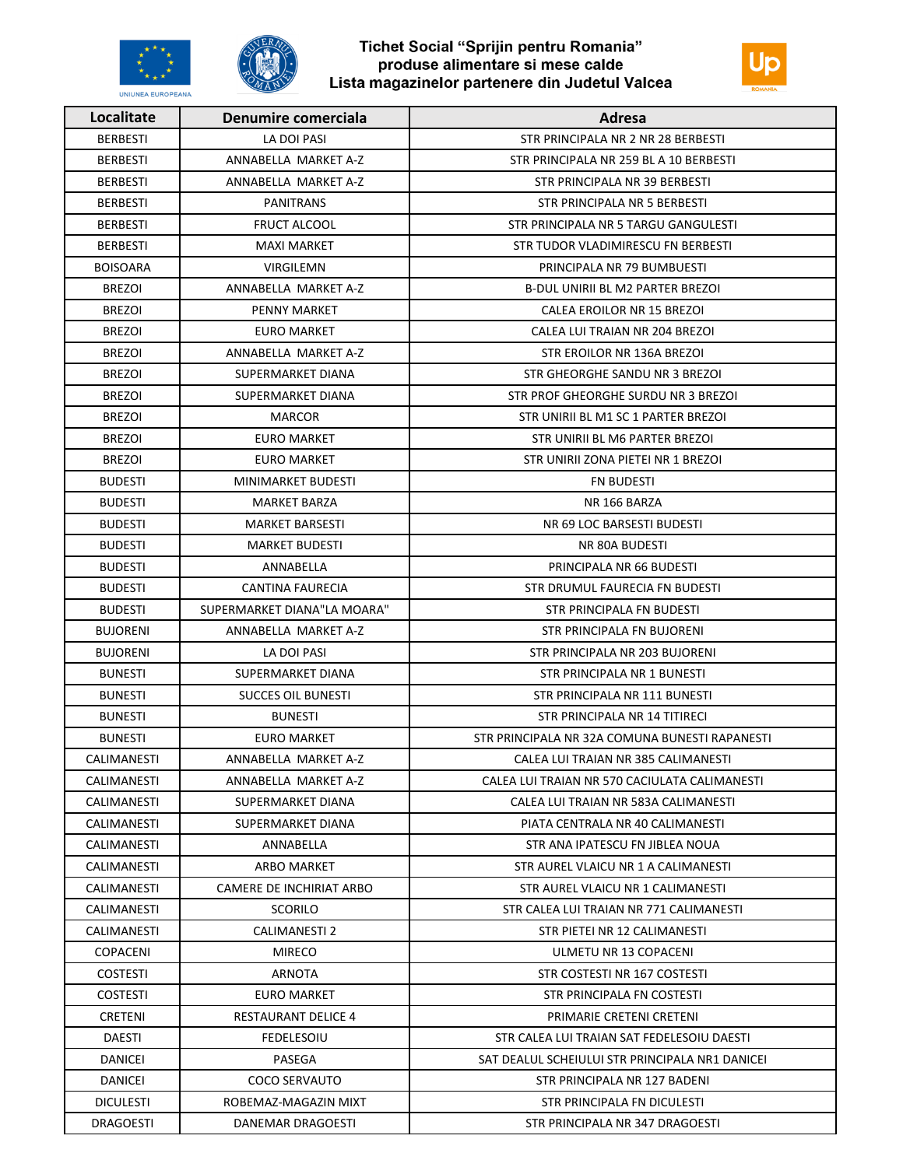



| Localitate       | Denumire comerciala         | Adresa                                          |
|------------------|-----------------------------|-------------------------------------------------|
| <b>BERBESTI</b>  | LA DOI PASI                 | STR PRINCIPALA NR 2 NR 28 BERBESTI              |
| <b>BERBESTI</b>  | ANNABELLA MARKET A-Z        | STR PRINCIPALA NR 259 BL A 10 BERBESTI          |
| <b>BERBESTI</b>  | ANNABELLA MARKET A-Z        | STR PRINCIPALA NR 39 BERBESTI                   |
| <b>BERBESTI</b>  | <b>PANITRANS</b>            | STR PRINCIPALA NR 5 BERBESTI                    |
| <b>BERBESTI</b>  | <b>FRUCT ALCOOL</b>         | STR PRINCIPALA NR 5 TARGU GANGULESTI            |
| <b>BERBESTI</b>  | <b>MAXI MARKET</b>          | STR TUDOR VLADIMIRESCU FN BERBESTI              |
| <b>BOISOARA</b>  | <b>VIRGILEMN</b>            | PRINCIPALA NR 79 BUMBUESTI                      |
| <b>BREZOI</b>    | ANNABELLA MARKET A-Z        | <b>B-DUL UNIRII BL M2 PARTER BREZOI</b>         |
| <b>BREZOI</b>    | <b>PENNY MARKET</b>         | CALEA EROILOR NR 15 BREZOI                      |
| <b>BREZOI</b>    | <b>EURO MARKET</b>          | CALEA LUI TRAIAN NR 204 BREZOI                  |
| <b>BREZOI</b>    | ANNABELLA MARKET A-Z        | STR EROILOR NR 136A BREZOI                      |
| <b>BREZOI</b>    | SUPERMARKET DIANA           | STR GHEORGHE SANDU NR 3 BREZOI                  |
| <b>BREZOI</b>    | SUPERMARKET DIANA           | STR PROF GHEORGHE SURDU NR 3 BREZOI             |
| <b>BREZOI</b>    | <b>MARCOR</b>               | STR UNIRII BL M1 SC 1 PARTER BREZOI             |
| <b>BREZOI</b>    | <b>EURO MARKET</b>          | STR UNIRII BL M6 PARTER BREZOI                  |
| <b>BREZOI</b>    | <b>EURO MARKET</b>          | STR UNIRII ZONA PIETEI NR 1 BREZOI              |
| <b>BUDESTI</b>   | MINIMARKET BUDESTI          | FN BUDESTI                                      |
| <b>BUDESTI</b>   | <b>MARKET BARZA</b>         | NR 166 BARZA                                    |
| <b>BUDESTI</b>   | <b>MARKET BARSESTI</b>      | NR 69 LOC BARSESTI BUDESTI                      |
| <b>BUDESTI</b>   | <b>MARKET BUDESTI</b>       | NR 80A BUDESTI                                  |
| <b>BUDESTI</b>   | ANNABELLA                   | PRINCIPALA NR 66 BUDESTI                        |
| <b>BUDESTI</b>   | CANTINA FAURECIA            | STR DRUMUL FAURECIA FN BUDESTI                  |
| <b>BUDESTI</b>   | SUPERMARKET DIANA"LA MOARA" | STR PRINCIPALA FN BUDESTI                       |
| <b>BUJORENI</b>  | ANNABELLA MARKET A-Z        | STR PRINCIPALA FN BUJORENI                      |
| <b>BUJORENI</b>  | LA DOI PASI                 | STR PRINCIPALA NR 203 BUJORENI                  |
| <b>BUNESTI</b>   | SUPERMARKET DIANA           | STR PRINCIPALA NR 1 BUNESTI                     |
| <b>BUNESTI</b>   | <b>SUCCES OIL BUNESTI</b>   | STR PRINCIPALA NR 111 BUNESTI                   |
| <b>BUNESTI</b>   | <b>BUNESTI</b>              | STR PRINCIPALA NR 14 TITIRECI                   |
| <b>BUNESTI</b>   | <b>EURO MARKET</b>          | STR PRINCIPALA NR 32A COMUNA BUNESTI RAPANESTI  |
| CALIMANESTI      | ANNABELLA MARKET A-Z        | CALEA LUI TRAIAN NR 385 CALIMANESTI             |
| CALIMANESTI      | ANNABELLA MARKET A-Z        | CALEA LUI TRAIAN NR 570 CACIULATA CALIMANESTI   |
| CALIMANESTI      | SUPERMARKET DIANA           | CALEA LUI TRAIAN NR 583A CALIMANESTI            |
| CALIMANESTI      | SUPERMARKET DIANA           | PIATA CENTRALA NR 40 CALIMANESTI                |
| CALIMANESTI      | ANNABELLA                   | STR ANA IPATESCU FN JIBLEA NOUA                 |
| CALIMANESTI      | ARBO MARKET                 | STR AUREL VLAICU NR 1 A CALIMANESTI             |
| CALIMANESTI      | CAMERE DE INCHIRIAT ARBO    | STR AUREL VLAICU NR 1 CALIMANESTI               |
| CALIMANESTI      | <b>SCORILO</b>              | STR CALEA LUI TRAIAN NR 771 CALIMANESTI         |
| CALIMANESTI      | CALIMANESTI 2               | STR PIETEI NR 12 CALIMANESTI                    |
| <b>COPACENI</b>  | <b>MIRECO</b>               | ULMETU NR 13 COPACENI                           |
| <b>COSTESTI</b>  | ARNOTA                      | STR COSTESTI NR 167 COSTESTI                    |
| <b>COSTESTI</b>  | EURO MARKET                 | STR PRINCIPALA FN COSTESTI                      |
| CRETENI          | <b>RESTAURANT DELICE 4</b>  | PRIMARIE CRETENI CRETENI                        |
| DAESTI           | <b>FEDELESOIU</b>           | STR CALEA LUI TRAIAN SAT FEDELESOIU DAESTI      |
| DANICEI          | PASEGA                      | SAT DEALUL SCHEIULUI STR PRINCIPALA NR1 DANICEI |
| DANICEI          | <b>COCO SERVAUTO</b>        | STR PRINCIPALA NR 127 BADENI                    |
| <b>DICULESTI</b> | ROBEMAZ-MAGAZIN MIXT        | STR PRINCIPALA FN DICULESTI                     |
| DRAGOESTI        | DANEMAR DRAGOESTI           | STR PRINCIPALA NR 347 DRAGOESTI                 |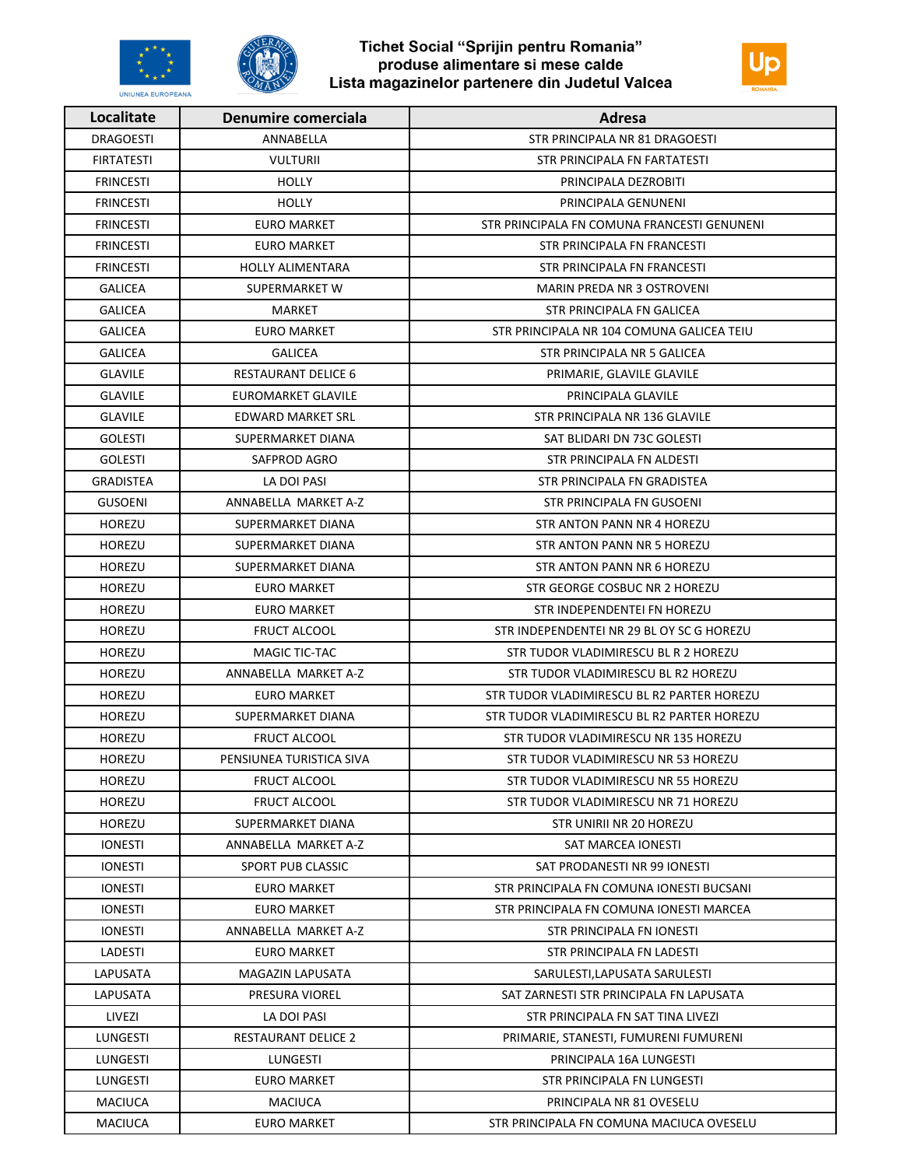



| Localitate        | Denumire comerciala        | Adresa                                      |
|-------------------|----------------------------|---------------------------------------------|
| <b>DRAGOESTI</b>  | ANNABELLA                  | STR PRINCIPALA NR 81 DRAGOESTI              |
| <b>FIRTATESTI</b> | <b>VULTURII</b>            | STR PRINCIPALA FN FARTATESTI                |
| <b>FRINCESTI</b>  | <b>HOLLY</b>               | PRINCIPALA DEZROBITI                        |
| <b>FRINCESTI</b>  | <b>HOLLY</b>               | PRINCIPALA GENUNENI                         |
| <b>FRINCESTI</b>  | <b>EURO MARKET</b>         | STR PRINCIPALA FN COMUNA FRANCESTI GENUNENI |
| <b>FRINCESTI</b>  | EURO MARKET                | STR PRINCIPALA FN FRANCESTI                 |
| <b>FRINCESTI</b>  | <b>HOLLY ALIMENTARA</b>    | STR PRINCIPALA FN FRANCESTI                 |
| <b>GALICEA</b>    | SUPERMARKET W              | <b>MARIN PREDA NR 3 OSTROVENI</b>           |
| <b>GALICEA</b>    | MARKET                     | STR PRINCIPALA FN GALICEA                   |
| <b>GALICEA</b>    | <b>EURO MARKET</b>         | STR PRINCIPALA NR 104 COMUNA GALICEA TEIU   |
| <b>GALICEA</b>    | <b>GALICEA</b>             | STR PRINCIPALA NR 5 GALICEA                 |
| <b>GLAVILE</b>    | <b>RESTAURANT DELICE 6</b> | PRIMARIE, GLAVILE GLAVILE                   |
| <b>GLAVILE</b>    | EUROMARKET GLAVILE         | PRINCIPALA GLAVILE                          |
| <b>GLAVILE</b>    | EDWARD MARKET SRL          | STR PRINCIPALA NR 136 GLAVILE               |
| <b>GOLESTI</b>    | SUPERMARKET DIANA          | SAT BLIDARI DN 73C GOLESTI                  |
| <b>GOLESTI</b>    | SAFPROD AGRO               | STR PRINCIPALA FN ALDESTI                   |
| GRADISTEA         | LA DOI PASI                | STR PRINCIPALA FN GRADISTEA                 |
| <b>GUSOENI</b>    | ANNABELLA MARKET A-Z       | <b>STR PRINCIPALA FN GUSOENI</b>            |
| <b>HOREZU</b>     | SUPERMARKET DIANA          | STR ANTON PANN NR 4 HOREZU                  |
| <b>HOREZU</b>     | SUPERMARKET DIANA          | STR ANTON PANN NR 5 HOREZU                  |
| <b>HOREZU</b>     | SUPERMARKET DIANA          | STR ANTON PANN NR 6 HOREZU                  |
| <b>HOREZU</b>     | <b>EURO MARKET</b>         | STR GEORGE COSBUC NR 2 HOREZU               |
| <b>HOREZU</b>     | <b>EURO MARKET</b>         | STR INDEPENDENTEI FN HOREZU                 |
| <b>HOREZU</b>     | <b>FRUCT ALCOOL</b>        | STR INDEPENDENTEI NR 29 BL OY SC G HOREZU   |
| HOREZU            | MAGIC TIC-TAC              | STR TUDOR VLADIMIRESCU BL R 2 HOREZU        |
| <b>HOREZU</b>     | ANNABELLA MARKET A-Z       | STR TUDOR VLADIMIRESCU BL R2 HOREZU         |
| <b>HOREZU</b>     | <b>EURO MARKET</b>         | STR TUDOR VLADIMIRESCU BL R2 PARTER HOREZU  |
| HOREZU            | SUPERMARKET DIANA          | STR TUDOR VLADIMIRESCU BL R2 PARTER HOREZU  |
| <b>HOREZU</b>     | <b>FRUCT ALCOOL</b>        | STR TUDOR VLADIMIRESCU NR 135 HOREZU        |
| <b>HOREZU</b>     | PENSIUNEA TURISTICA SIVA   | STR TUDOR VLADIMIRESCU NR 53 HOREZU         |
| <b>HOREZU</b>     | <b>FRUCT ALCOOL</b>        | STR TUDOR VLADIMIRESCU NR 55 HOREZU         |
| <b>HOREZU</b>     | <b>FRUCT ALCOOL</b>        | STR TUDOR VLADIMIRESCU NR 71 HOREZU         |
| <b>HOREZU</b>     | SUPERMARKET DIANA          | STR UNIRII NR 20 HOREZU                     |
| <b>IONESTI</b>    | ANNABELLA MARKET A-Z       | SAT MARCEA IONESTI                          |
| <b>IONESTI</b>    | SPORT PUB CLASSIC          | SAT PRODANESTI NR 99 IONESTI                |
| <b>IONESTI</b>    | <b>EURO MARKET</b>         | STR PRINCIPALA FN COMUNA IONESTI BUCSANI    |
| <b>IONESTI</b>    | <b>EURO MARKET</b>         | STR PRINCIPALA FN COMUNA IONESTI MARCEA     |
| <b>IONESTI</b>    | ANNABELLA MARKET A-Z       | STR PRINCIPALA FN IONESTI                   |
| LADESTI           | EURO MARKET                | STR PRINCIPALA FN LADESTI                   |
| LAPUSATA          | MAGAZIN LAPUSATA           | SARULESTI, LAPUSATA SARULESTI               |
| LAPUSATA          | PRESURA VIOREL             | SAT ZARNESTI STR PRINCIPALA FN LAPUSATA     |
| LIVEZI            | LA DOI PASI                | STR PRINCIPALA FN SAT TINA LIVEZI           |
| LUNGESTI          | RESTAURANT DELICE 2        | PRIMARIE, STANESTI, FUMURENI FUMURENI       |
| LUNGESTI          | LUNGESTI                   | PRINCIPALA 16A LUNGESTI                     |
| LUNGESTI          | EURO MARKET                | STR PRINCIPALA FN LUNGESTI                  |
| <b>MACIUCA</b>    | <b>MACIUCA</b>             | PRINCIPALA NR 81 OVESELU                    |
| <b>MACIUCA</b>    | <b>EURO MARKET</b>         | STR PRINCIPALA FN COMUNA MACIUCA OVESELU    |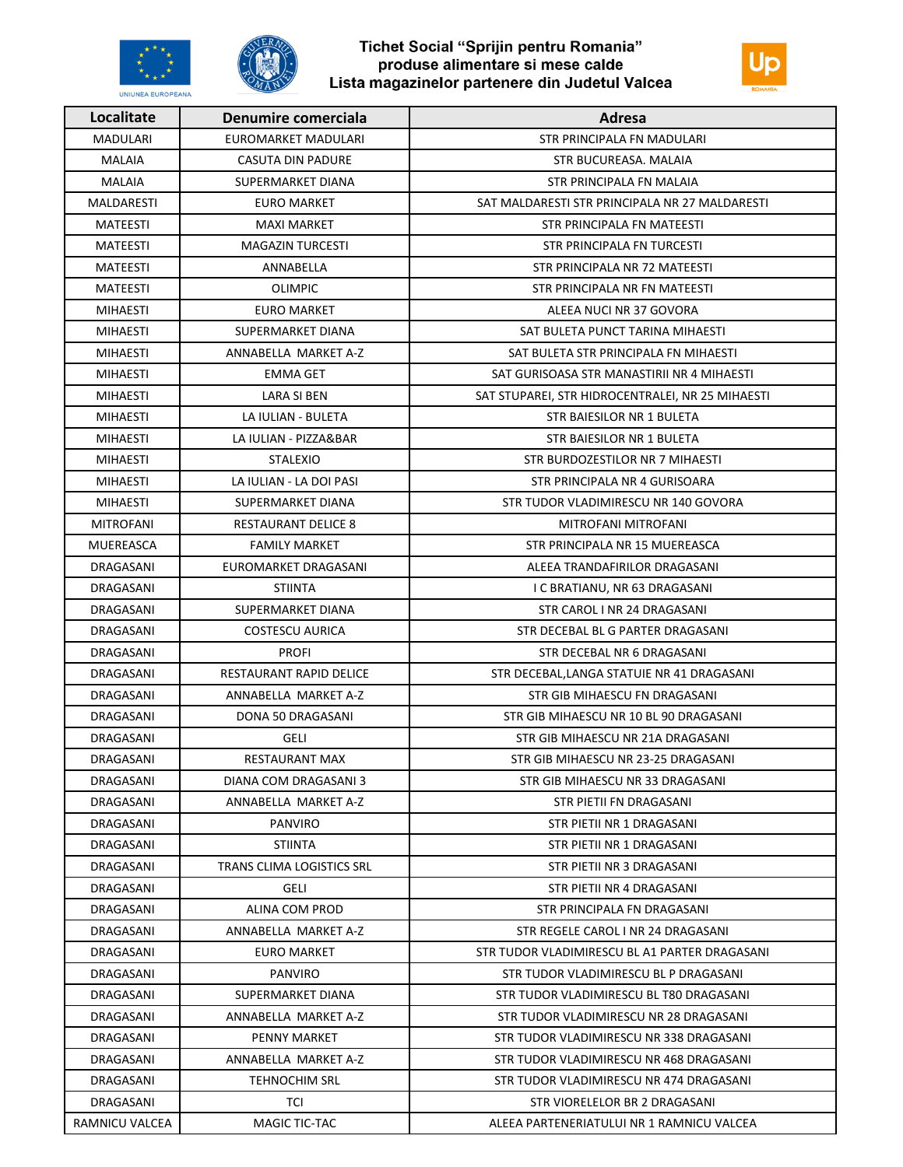



| Localitate<br>Denumire comerciala              | Adresa                                           |
|------------------------------------------------|--------------------------------------------------|
| <b>MADULARI</b><br>EUROMARKET MADULARI         | <b>STR PRINCIPALA FN MADULARI</b>                |
| <b>MALAIA</b><br>CASUTA DIN PADURE             | STR BUCUREASA, MALAIA                            |
| MALAIA<br>SUPERMARKET DIANA                    | STR PRINCIPALA FN MALAIA                         |
| <b>MALDARESTI</b><br><b>EURO MARKET</b>        | SAT MALDARESTI STR PRINCIPALA NR 27 MALDARESTI   |
| MATEESTI<br><b>MAXI MARKET</b>                 | STR PRINCIPALA FN MATEESTI                       |
| <b>MATEESTI</b><br><b>MAGAZIN TURCESTI</b>     | STR PRINCIPALA FN TURCESTI                       |
| <b>MATEESTI</b><br>ANNABELLA                   | STR PRINCIPALA NR 72 MATEESTI                    |
| <b>MATEESTI</b><br><b>OLIMPIC</b>              | STR PRINCIPALA NR FN MATEESTI                    |
| <b>MIHAESTI</b><br><b>EURO MARKET</b>          | ALEEA NUCI NR 37 GOVORA                          |
| <b>MIHAESTI</b><br>SUPERMARKET DIANA           | SAT BULETA PUNCT TARINA MIHAESTI                 |
| ANNABELLA MARKET A-Z<br><b>MIHAESTI</b>        | SAT BULETA STR PRINCIPALA FN MIHAESTI            |
| <b>MIHAESTI</b><br><b>EMMA GET</b>             | SAT GURISOASA STR MANASTIRII NR 4 MIHAESTI       |
| <b>MIHAESTI</b><br>LARA SI BEN                 | SAT STUPAREI, STR HIDROCENTRALEI, NR 25 MIHAESTI |
| LA IULIAN - BULETA<br>MIHAESTI                 | STR BAIESILOR NR 1 BULETA                        |
| <b>MIHAESTI</b><br>LA IULIAN - PIZZA&BAR       | STR BAIESILOR NR 1 BULETA                        |
| <b>MIHAESTI</b><br>STALEXIO                    | STR BURDOZESTILOR NR 7 MIHAESTI                  |
| <b>MIHAESTI</b><br>LA IULIAN - LA DOI PASI     | STR PRINCIPALA NR 4 GURISOARA                    |
| <b>MIHAESTI</b><br>SUPERMARKET DIANA           | STR TUDOR VLADIMIRESCU NR 140 GOVORA             |
| <b>MITROFANI</b><br><b>RESTAURANT DELICE 8</b> | MITROFANI MITROFANI                              |
| MUEREASCA<br><b>FAMILY MARKET</b>              | STR PRINCIPALA NR 15 MUEREASCA                   |
| EUROMARKET DRAGASANI<br>DRAGASANI              | ALEEA TRANDAFIRILOR DRAGASANI                    |
| DRAGASANI<br><b>STIINTA</b>                    | I C BRATIANU, NR 63 DRAGASANI                    |
| DRAGASANI<br>SUPERMARKET DIANA                 | STR CAROL I NR 24 DRAGASANI                      |
| <b>DRAGASANI</b><br><b>COSTESCU AURICA</b>     | STR DECEBAL BL G PARTER DRAGASANI                |
| DRAGASANI<br><b>PROFI</b>                      | STR DECEBAL NR 6 DRAGASANI                       |
| DRAGASANI<br>RESTAURANT RAPID DELICE           | STR DECEBAL, LANGA STATUIE NR 41 DRAGASANI       |
| DRAGASANI<br>ANNABELLA MARKET A-Z              | STR GIB MIHAESCU FN DRAGASANI                    |
| DRAGASANI<br>DONA 50 DRAGASANI                 | STR GIB MIHAESCU NR 10 BL 90 DRAGASANI           |
| DRAGASANI<br>GELI                              | STR GIB MIHAESCU NR 21A DRAGASANI                |
| DRAGASANI<br>RESTAURANT MAX                    | STR GIB MIHAESCU NR 23-25 DRAGASANI              |
| DRAGASANI<br>DIANA COM DRAGASANI 3             | STR GIB MIHAESCU NR 33 DRAGASANI                 |
| ANNABELLA MARKET A-Z<br>DRAGASANI              | STR PIETII FN DRAGASANI                          |
| DRAGASANI<br><b>PANVIRO</b>                    | STR PIETII NR 1 DRAGASANI                        |
| DRAGASANI<br>STIINTA                           | STR PIETII NR 1 DRAGASANI                        |
| TRANS CLIMA LOGISTICS SRL<br>DRAGASANI         | STR PIETII NR 3 DRAGASANI                        |
| <b>GELI</b><br>DRAGASANI                       | STR PIETII NR 4 DRAGASANI                        |
| ALINA COM PROD<br>DRAGASANI                    | STR PRINCIPALA FN DRAGASANI                      |
| DRAGASANI<br>ANNABELLA MARKET A-Z              | STR REGELE CAROL I NR 24 DRAGASANI               |
| DRAGASANI<br><b>EURO MARKET</b>                | STR TUDOR VLADIMIRESCU BL A1 PARTER DRAGASANI    |
| DRAGASANI<br><b>PANVIRO</b>                    | STR TUDOR VLADIMIRESCU BL P DRAGASANI            |
| DRAGASANI<br>SUPERMARKET DIANA                 | STR TUDOR VLADIMIRESCU BL T80 DRAGASANI          |
| DRAGASANI<br>ANNABELLA MARKET A-Z              | STR TUDOR VLADIMIRESCU NR 28 DRAGASANI           |
| DRAGASANI<br>PENNY MARKET                      | STR TUDOR VLADIMIRESCU NR 338 DRAGASANI          |
| DRAGASANI<br>ANNABELLA MARKET A-Z              | STR TUDOR VLADIMIRESCU NR 468 DRAGASANI          |
| DRAGASANI<br><b>TEHNOCHIM SRL</b>              | STR TUDOR VLADIMIRESCU NR 474 DRAGASANI          |
| DRAGASANI<br>TCI                               | STR VIORELELOR BR 2 DRAGASANI                    |
| RAMNICU VALCEA<br>MAGIC TIC-TAC                | ALEEA PARTENERIATULUI NR 1 RAMNICU VALCEA        |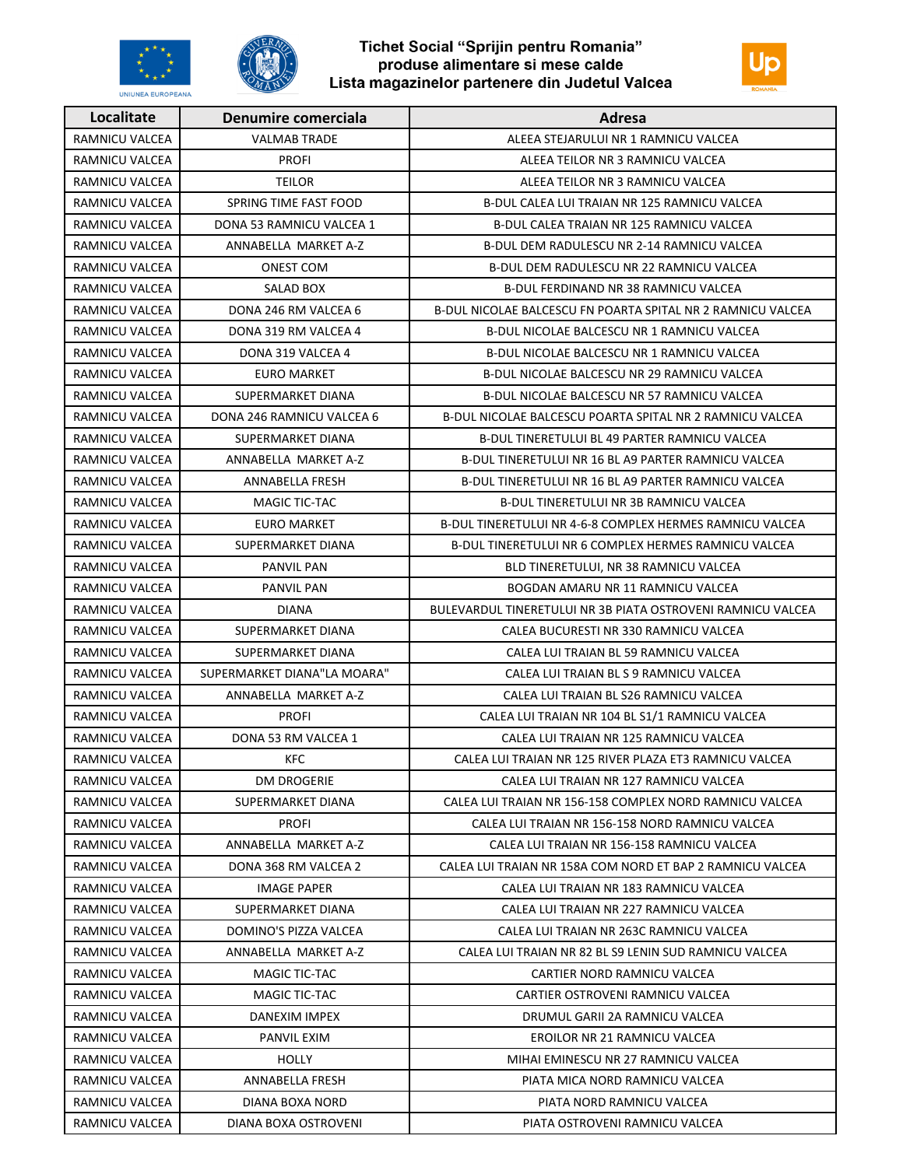



| Localitate            | Denumire comerciala         | Adresa                                                      |
|-----------------------|-----------------------------|-------------------------------------------------------------|
| <b>RAMNICU VALCEA</b> | <b>VALMAB TRADE</b>         | ALEEA STEJARULUI NR 1 RAMNICU VALCEA                        |
| RAMNICU VALCEA        | <b>PROFI</b>                | ALEEA TEILOR NR 3 RAMNICU VALCEA                            |
| RAMNICU VALCEA        | <b>TEILOR</b>               | ALEEA TEILOR NR 3 RAMNICU VALCEA                            |
| RAMNICU VALCEA        | SPRING TIME FAST FOOD       | B-DUL CALEA LUI TRAIAN NR 125 RAMNICU VALCEA                |
| RAMNICU VALCEA        | DONA 53 RAMNICU VALCEA 1    | B-DUL CALEA TRAIAN NR 125 RAMNICU VALCEA                    |
| RAMNICU VALCEA        | ANNABELLA MARKET A-Z        | B-DUL DEM RADULESCU NR 2-14 RAMNICU VALCEA                  |
| RAMNICU VALCEA        | <b>ONEST COM</b>            | <b>B-DUL DEM RADULESCU NR 22 RAMNICU VALCEA</b>             |
| RAMNICU VALCEA        | SALAD BOX                   | B-DUL FERDINAND NR 38 RAMNICU VALCEA                        |
| RAMNICU VALCEA        | DONA 246 RM VALCEA 6        | B-DUL NICOLAE BALCESCU FN POARTA SPITAL NR 2 RAMNICU VALCEA |
| RAMNICU VALCEA        | DONA 319 RM VALCEA 4        | B-DUL NICOLAE BALCESCU NR 1 RAMNICU VALCEA                  |
| RAMNICU VALCEA        | DONA 319 VALCEA 4           | B-DUL NICOLAE BALCESCU NR 1 RAMNICU VALCEA                  |
| RAMNICU VALCEA        | <b>EURO MARKET</b>          | B-DUL NICOLAE BALCESCU NR 29 RAMNICU VALCEA                 |
| RAMNICU VALCEA        | SUPERMARKET DIANA           | B-DUL NICOLAE BALCESCU NR 57 RAMNICU VALCEA                 |
| RAMNICU VALCEA        | DONA 246 RAMNICU VALCEA 6   | B-DUL NICOLAE BALCESCU POARTA SPITAL NR 2 RAMNICU VALCEA    |
| RAMNICU VALCEA        | SUPERMARKET DIANA           | <b>B-DUL TINERETULUI BL 49 PARTER RAMNICU VALCEA</b>        |
| RAMNICU VALCEA        | ANNABELLA MARKET A-Z        | B-DUL TINERETULUI NR 16 BL A9 PARTER RAMNICU VALCEA         |
| RAMNICU VALCEA        | <b>ANNABELLA FRESH</b>      | B-DUL TINERETULUI NR 16 BL A9 PARTER RAMNICU VALCEA         |
| RAMNICU VALCEA        | <b>MAGIC TIC-TAC</b>        | B-DUL TINERETULUI NR 3B RAMNICU VALCEA                      |
| RAMNICU VALCEA        | <b>EURO MARKET</b>          | B-DUL TINERETULUI NR 4-6-8 COMPLEX HERMES RAMNICU VALCEA    |
| RAMNICU VALCEA        | SUPERMARKET DIANA           | B-DUL TINERETULUI NR 6 COMPLEX HERMES RAMNICU VALCEA        |
| RAMNICU VALCEA        | <b>PANVIL PAN</b>           | BLD TINERETULUI, NR 38 RAMNICU VALCEA                       |
| RAMNICU VALCEA        | <b>PANVIL PAN</b>           | BOGDAN AMARU NR 11 RAMNICU VALCEA                           |
| RAMNICU VALCEA        | <b>DIANA</b>                | BULEVARDUL TINERETULUI NR 3B PIATA OSTROVENI RAMNICU VALCEA |
| RAMNICU VALCEA        | SUPERMARKET DIANA           | CALEA BUCURESTI NR 330 RAMNICU VALCEA                       |
| RAMNICU VALCEA        | SUPERMARKET DIANA           | CALEA LUI TRAIAN BL 59 RAMNICU VALCEA                       |
| RAMNICU VALCEA        | SUPERMARKET DIANA"LA MOARA" | CALEA LUI TRAIAN BL S 9 RAMNICU VALCEA                      |
| RAMNICU VALCEA        | ANNABELLA MARKET A-Z        | CALEA LUI TRAIAN BL S26 RAMNICU VALCEA                      |
| RAMNICU VALCEA        | <b>PROFI</b>                | CALEA LUI TRAIAN NR 104 BL S1/1 RAMNICU VALCEA              |
| RAMNICU VALCEA        | DONA 53 RM VALCEA 1         | CALEA LUI TRAIAN NR 125 RAMNICU VALCEA                      |
| RAMNICU VALCEA        | <b>KFC</b>                  | CALEA LUI TRAIAN NR 125 RIVER PLAZA ET3 RAMNICU VALCEA      |
| RAMNICU VALCEA        | DM DROGERIE                 | CALEA LUI TRAIAN NR 127 RAMNICU VALCEA                      |
| RAMNICU VALCEA        | SUPERMARKET DIANA           | CALEA LUI TRAIAN NR 156-158 COMPLEX NORD RAMNICU VALCEA     |
| RAMNICU VALCEA        | <b>PROFI</b>                | CALEA LUI TRAIAN NR 156-158 NORD RAMNICU VALCEA             |
| RAMNICU VALCEA        | ANNABELLA MARKET A-Z        | CALEA LUI TRAIAN NR 156-158 RAMNICU VALCEA                  |
| RAMNICU VALCEA        | DONA 368 RM VALCEA 2        | CALEA LUI TRAIAN NR 158A COM NORD ET BAP 2 RAMNICU VALCEA   |
| RAMNICU VALCEA        | IMAGE PAPER                 | CALEA LUI TRAIAN NR 183 RAMNICU VALCEA                      |
| RAMNICU VALCEA        | SUPERMARKET DIANA           | CALEA LUI TRAIAN NR 227 RAMNICU VALCEA                      |
| RAMNICU VALCEA        | DOMINO'S PIZZA VALCEA       | CALEA LUI TRAIAN NR 263C RAMNICU VALCEA                     |
| RAMNICU VALCEA        | ANNABELLA MARKET A-Z        | CALEA LUI TRAIAN NR 82 BL S9 LENIN SUD RAMNICU VALCEA       |
| RAMNICU VALCEA        | MAGIC TIC-TAC               | CARTIER NORD RAMNICU VALCEA                                 |
| RAMNICU VALCEA        | MAGIC TIC-TAC               | CARTIER OSTROVENI RAMNICU VALCEA                            |
| RAMNICU VALCEA        | DANEXIM IMPEX               | DRUMUL GARII 2A RAMNICU VALCEA                              |
| RAMNICU VALCEA        | PANVIL EXIM                 | EROILOR NR 21 RAMNICU VALCEA                                |
| RAMNICU VALCEA        | <b>HOLLY</b>                | MIHAI EMINESCU NR 27 RAMNICU VALCEA                         |
| RAMNICU VALCEA        | ANNABELLA FRESH             | PIATA MICA NORD RAMNICU VALCEA                              |
| RAMNICU VALCEA        | DIANA BOXA NORD             | PIATA NORD RAMNICU VALCEA                                   |
| RAMNICU VALCEA        | DIANA BOXA OSTROVENI        | PIATA OSTROVENI RAMNICU VALCEA                              |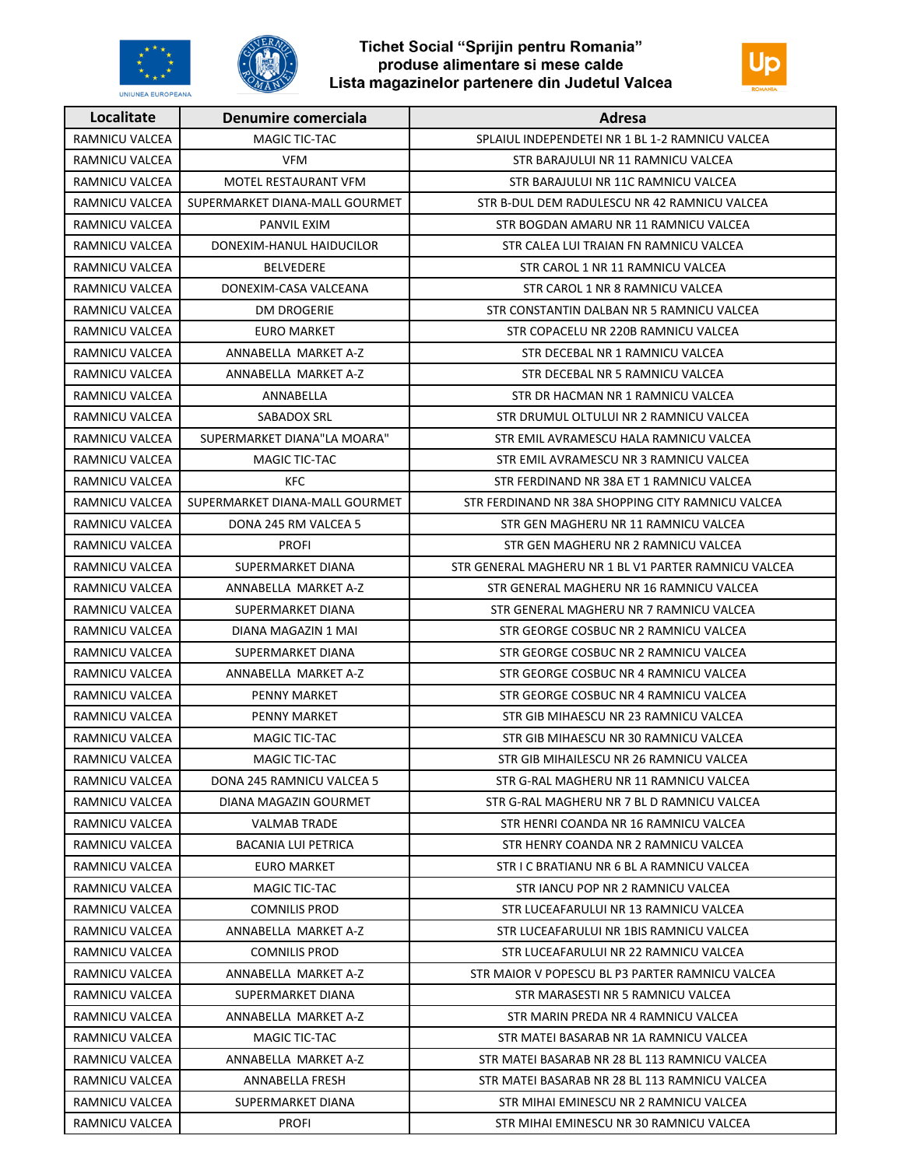





| Localitate            | Denumire comerciala            | Adresa                                               |
|-----------------------|--------------------------------|------------------------------------------------------|
| <b>RAMNICU VALCEA</b> | MAGIC TIC-TAC                  | SPLAIUL INDEPENDETEI NR 1 BL 1-2 RAMNICU VALCEA      |
| RAMNICU VALCEA        | <b>VFM</b>                     | STR BARAJULUI NR 11 RAMNICU VALCEA                   |
| RAMNICU VALCEA        | MOTEL RESTAURANT VFM           | STR BARAJULUI NR 11C RAMNICU VALCEA                  |
| RAMNICU VALCEA        | SUPERMARKET DIANA-MALL GOURMET | STR B-DUL DEM RADULESCU NR 42 RAMNICU VALCEA         |
| RAMNICU VALCEA        | PANVIL EXIM                    | STR BOGDAN AMARU NR 11 RAMNICU VALCEA                |
| RAMNICU VALCEA        | DONEXIM-HANUL HAIDUCILOR       | STR CALEA LUI TRAIAN FN RAMNICU VALCEA               |
| <b>RAMNICU VALCEA</b> | <b>BELVEDERE</b>               | STR CAROL 1 NR 11 RAMNICU VALCEA                     |
| <b>RAMNICU VALCEA</b> | DONEXIM-CASA VALCEANA          | STR CAROL 1 NR 8 RAMNICU VALCEA                      |
| RAMNICU VALCEA        | DM DROGERIE                    | STR CONSTANTIN DALBAN NR 5 RAMNICU VALCEA            |
| RAMNICU VALCEA        | <b>EURO MARKET</b>             | STR COPACELU NR 220B RAMNICU VALCEA                  |
| RAMNICU VALCEA        | ANNABELLA MARKET A-Z           | STR DECEBAL NR 1 RAMNICU VALCEA                      |
| RAMNICU VALCEA        | ANNABELLA MARKET A-Z           | STR DECEBAL NR 5 RAMNICU VALCEA                      |
| RAMNICU VALCEA        | ANNABELLA                      | STR DR HACMAN NR 1 RAMNICU VALCEA                    |
| RAMNICU VALCEA        | SABADOX SRL                    | STR DRUMUL OLTULUI NR 2 RAMNICU VALCEA               |
| RAMNICU VALCEA        | SUPERMARKET DIANA"LA MOARA"    | STR EMIL AVRAMESCU HALA RAMNICU VALCEA               |
| RAMNICU VALCEA        | MAGIC TIC-TAC                  | STR EMIL AVRAMESCU NR 3 RAMNICU VALCEA               |
| RAMNICU VALCEA        | <b>KFC</b>                     | STR FERDINAND NR 38A ET 1 RAMNICU VALCEA             |
| RAMNICU VALCEA        | SUPERMARKET DIANA-MALL GOURMET | STR FERDINAND NR 38A SHOPPING CITY RAMNICU VALCEA    |
| RAMNICU VALCEA        | DONA 245 RM VALCEA 5           | STR GEN MAGHERU NR 11 RAMNICU VALCEA                 |
| RAMNICU VALCEA        | <b>PROFI</b>                   | STR GEN MAGHERU NR 2 RAMNICU VALCEA                  |
| RAMNICU VALCEA        | SUPERMARKET DIANA              | STR GENERAL MAGHERU NR 1 BL V1 PARTER RAMNICU VALCEA |
| RAMNICU VALCEA        | ANNABELLA MARKET A-Z           | STR GENERAL MAGHERU NR 16 RAMNICU VALCEA             |
| RAMNICU VALCEA        | SUPERMARKET DIANA              | STR GENERAL MAGHERU NR 7 RAMNICU VALCEA              |
| RAMNICU VALCEA        | DIANA MAGAZIN 1 MAI            | STR GEORGE COSBUC NR 2 RAMNICU VALCEA                |
| RAMNICU VALCEA        | SUPERMARKET DIANA              | STR GEORGE COSBUC NR 2 RAMNICU VALCEA                |
| RAMNICU VALCEA        | ANNABELLA MARKET A-Z           | STR GEORGE COSBUC NR 4 RAMNICU VALCEA                |
| RAMNICU VALCEA        | PENNY MARKET                   | STR GEORGE COSBUC NR 4 RAMNICU VALCEA                |
| RAMNICU VALCEA        | PENNY MARKET                   | STR GIB MIHAESCU NR 23 RAMNICU VALCEA                |
| RAMNICU VALCEA        | MAGIC TIC-TAC                  | STR GIB MIHAESCU NR 30 RAMNICU VALCEA                |
| RAMNICU VALCEA        | MAGIC TIC-TAC                  | STR GIB MIHAILESCU NR 26 RAMNICU VALCEA              |
| RAMNICU VALCEA        | DONA 245 RAMNICU VALCEA 5      | STR G-RAL MAGHERU NR 11 RAMNICU VALCEA               |
| RAMNICU VALCEA        | DIANA MAGAZIN GOURMET          | STR G-RAL MAGHERU NR 7 BL D RAMNICU VALCEA           |
| RAMNICU VALCEA        | <b>VALMAB TRADE</b>            | STR HENRI COANDA NR 16 RAMNICU VALCEA                |
| RAMNICU VALCEA        | <b>BACANIA LUI PETRICA</b>     | STR HENRY COANDA NR 2 RAMNICU VALCEA                 |
| RAMNICU VALCEA        | <b>EURO MARKET</b>             | STR I C BRATIANU NR 6 BL A RAMNICU VALCEA            |
| RAMNICU VALCEA        | MAGIC TIC-TAC                  | STR JANCU POP NR 2 RAMNICU VALCEA                    |
| RAMNICU VALCEA        | <b>COMNILIS PROD</b>           | STR LUCEAFARULUI NR 13 RAMNICU VALCEA                |
| RAMNICU VALCEA        | ANNABELLA MARKET A-Z           | STR LUCEAFARULUI NR 1BIS RAMNICU VALCEA              |
| RAMNICU VALCEA        | <b>COMNILIS PROD</b>           | STR LUCEAFARULUI NR 22 RAMNICU VALCEA                |
| RAMNICU VALCEA        | ANNABELLA MARKET A-Z           | STR MAIOR V POPESCU BL P3 PARTER RAMNICU VALCEA      |
| RAMNICU VALCEA        | SUPERMARKET DIANA              | STR MARASESTI NR 5 RAMNICU VALCEA                    |
| RAMNICU VALCEA        | ANNABELLA MARKET A-Z           | STR MARIN PREDA NR 4 RAMNICU VALCEA                  |
| RAMNICU VALCEA        | MAGIC TIC-TAC                  | STR MATEI BASARAB NR 1A RAMNICU VALCEA               |
| RAMNICU VALCEA        | ANNABELLA MARKET A-Z           | STR MATEI BASARAB NR 28 BL 113 RAMNICU VALCEA        |
| RAMNICU VALCEA        | ANNABELLA FRESH                | STR MATEI BASARAB NR 28 BL 113 RAMNICU VALCEA        |
| RAMNICU VALCEA        | SUPERMARKET DIANA              | STR MIHAI EMINESCU NR 2 RAMNICU VALCEA               |
| RAMNICU VALCEA        | <b>PROFI</b>                   | STR MIHAI EMINESCU NR 30 RAMNICU VALCEA              |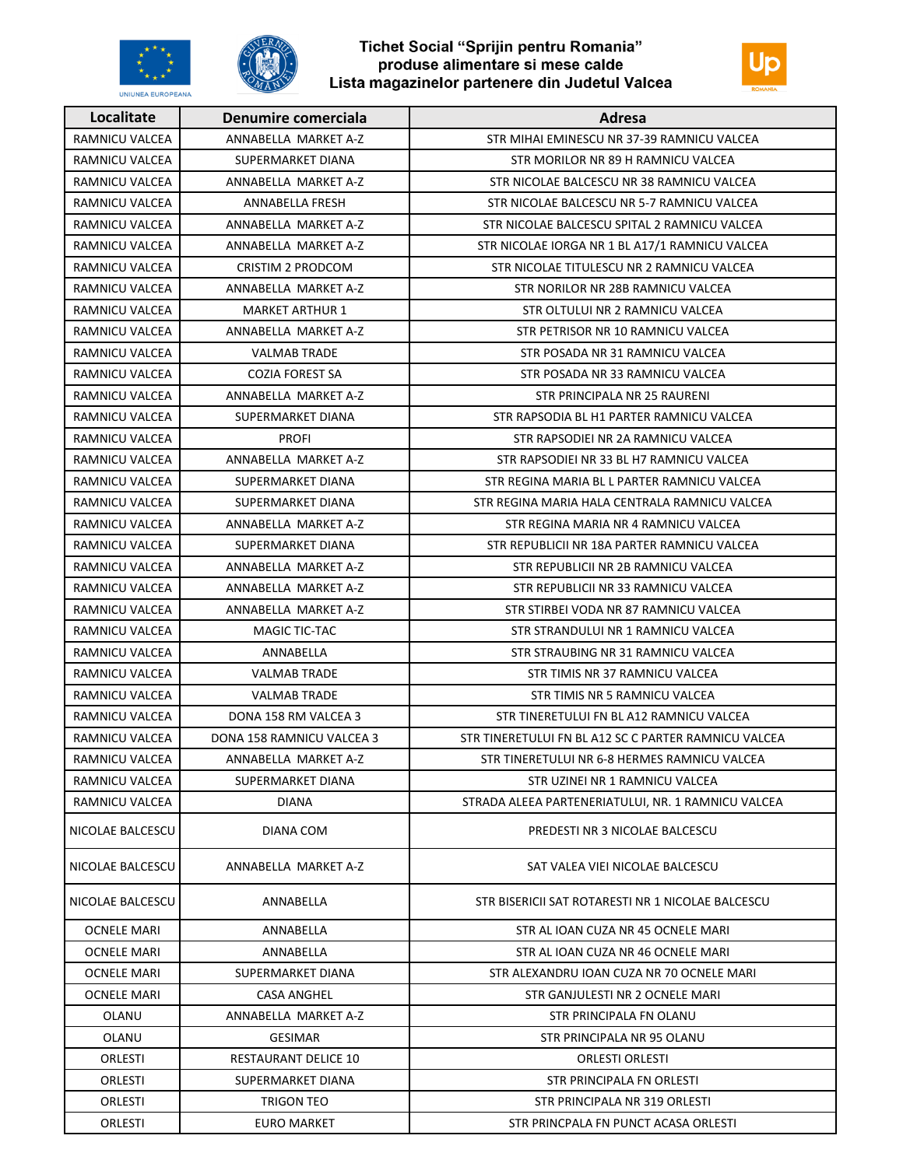





| Localitate            | Denumire comerciala       | Adresa                                               |
|-----------------------|---------------------------|------------------------------------------------------|
| RAMNICU VALCEA        | ANNABELLA MARKET A-Z      | STR MIHAI EMINESCU NR 37-39 RAMNICU VALCEA           |
| RAMNICU VALCEA        | SUPERMARKET DIANA         | STR MORILOR NR 89 H RAMNICU VALCEA                   |
| RAMNICU VALCEA        | ANNABELLA MARKET A-Z      | STR NICOLAE BALCESCU NR 38 RAMNICU VALCEA            |
| <b>RAMNICU VALCEA</b> | ANNABELLA FRESH           | STR NICOLAE BALCESCU NR 5-7 RAMNICU VALCEA           |
| RAMNICU VALCEA        | ANNABELLA MARKET A-Z      | STR NICOLAE BALCESCU SPITAL 2 RAMNICU VALCEA         |
| RAMNICU VALCEA        | ANNABELLA MARKET A-Z      | STR NICOLAE IORGA NR 1 BL A17/1 RAMNICU VALCEA       |
| <b>RAMNICU VALCEA</b> | CRISTIM 2 PRODCOM         | STR NICOLAE TITULESCU NR 2 RAMNICU VALCEA            |
| RAMNICU VALCEA        | ANNABELLA MARKET A-Z      | STR NORILOR NR 28B RAMNICU VALCEA                    |
| RAMNICU VALCEA        | <b>MARKET ARTHUR 1</b>    | STR OLTULUI NR 2 RAMNICU VALCEA                      |
| RAMNICU VALCEA        | ANNABELLA MARKET A-Z      | STR PETRISOR NR 10 RAMNICU VALCEA                    |
| RAMNICU VALCEA        | <b>VALMAB TRADE</b>       | STR POSADA NR 31 RAMNICU VALCEA                      |
| RAMNICU VALCEA        | <b>COZIA FOREST SA</b>    | STR POSADA NR 33 RAMNICU VALCEA                      |
| RAMNICU VALCEA        | ANNABELLA MARKET A-Z      | STR PRINCIPALA NR 25 RAURENI                         |
| RAMNICU VALCEA        | SUPERMARKET DIANA         | STR RAPSODIA BL H1 PARTER RAMNICU VALCEA             |
| RAMNICU VALCEA        | <b>PROFI</b>              | STR RAPSODIEI NR 2A RAMNICU VALCEA                   |
| RAMNICU VALCEA        | ANNABELLA MARKET A-Z      | STR RAPSODIEI NR 33 BL H7 RAMNICU VALCEA             |
| RAMNICU VALCEA        | SUPERMARKET DIANA         | STR REGINA MARIA BL L PARTER RAMNICU VALCEA          |
| RAMNICU VALCEA        | SUPERMARKET DIANA         | STR REGINA MARIA HALA CENTRALA RAMNICU VALCEA        |
| RAMNICU VALCEA        | ANNABELLA MARKET A-Z      | STR REGINA MARIA NR 4 RAMNICU VALCEA                 |
| RAMNICU VALCEA        | SUPERMARKET DIANA         | STR REPUBLICII NR 18A PARTER RAMNICU VALCEA          |
| RAMNICU VALCEA        | ANNABELLA MARKET A-Z      | STR REPUBLICII NR 2B RAMNICU VALCEA                  |
| RAMNICU VALCEA        | ANNABELLA MARKET A-Z      | STR REPUBLICII NR 33 RAMNICU VALCEA                  |
| RAMNICU VALCEA        | ANNABELLA MARKET A-Z      | STR STIRBEI VODA NR 87 RAMNICU VALCEA                |
| RAMNICU VALCEA        | MAGIC TIC-TAC             | STR STRANDULUI NR 1 RAMNICU VALCEA                   |
| RAMNICU VALCEA        | ANNABELLA                 | STR STRAUBING NR 31 RAMNICU VALCEA                   |
| RAMNICU VALCEA        | <b>VALMAB TRADE</b>       | STR TIMIS NR 37 RAMNICU VALCEA                       |
| RAMNICU VALCEA        | <b>VALMAB TRADE</b>       | STR TIMIS NR 5 RAMNICU VALCEA                        |
| RAMNICU VALCEA        | DONA 158 RM VALCEA 3      | STR TINERETULUI FN BL A12 RAMNICU VALCEA             |
| RAMNICU VALCEA        | DONA 158 RAMNICU VALCEA 3 | STR TINERETULUI FN BL A12 SC C PARTER RAMNICU VALCEA |
| RAMNICU VALCEA        | ANNABELLA MARKET A-Z      | STR TINERETULUI NR 6-8 HERMES RAMNICU VALCEA         |
| RAMNICU VALCEA        | SUPERMARKET DIANA         | STR UZINEI NR 1 RAMNICU VALCEA                       |
| RAMNICU VALCEA        | <b>DIANA</b>              | STRADA ALEEA PARTENERIATULUI, NR. 1 RAMNICU VALCEA   |
| NICOLAE BALCESCU      | DIANA COM                 | PREDESTI NR 3 NICOLAE BALCESCU                       |
| NICOLAE BALCESCU      | ANNABELLA MARKET A-Z      | SAT VALEA VIEI NICOLAE BALCESCU                      |
| NICOLAE BALCESCU      | ANNABELLA                 | STR BISERICII SAT ROTARESTI NR 1 NICOLAE BALCESCU    |
| <b>OCNELE MARI</b>    | ANNABELLA                 | STR AL IOAN CUZA NR 45 OCNELE MARI                   |
| <b>OCNELE MARI</b>    | ANNABELLA                 | STR AL IOAN CUZA NR 46 OCNELE MARI                   |
| <b>OCNELE MARI</b>    | SUPERMARKET DIANA         | STR ALEXANDRU IOAN CUZA NR 70 OCNELE MARI            |
| <b>OCNELE MARI</b>    | <b>CASA ANGHEL</b>        | STR GANJULESTI NR 2 OCNELE MARI                      |
| OLANU                 | ANNABELLA MARKET A-Z      | STR PRINCIPALA FN OLANU                              |
| OLANU                 | <b>GESIMAR</b>            | STR PRINCIPALA NR 95 OLANU                           |
| ORLESTI               | RESTAURANT DELICE 10      | <b>ORLESTI ORLESTI</b>                               |
| ORLESTI               | SUPERMARKET DIANA         | STR PRINCIPALA FN ORLESTI                            |
| ORLESTI               | TRIGON TEO                | STR PRINCIPALA NR 319 ORLESTI                        |
| ORLESTI               | EURO MARKET               | STR PRINCPALA FN PUNCT ACASA ORLESTI                 |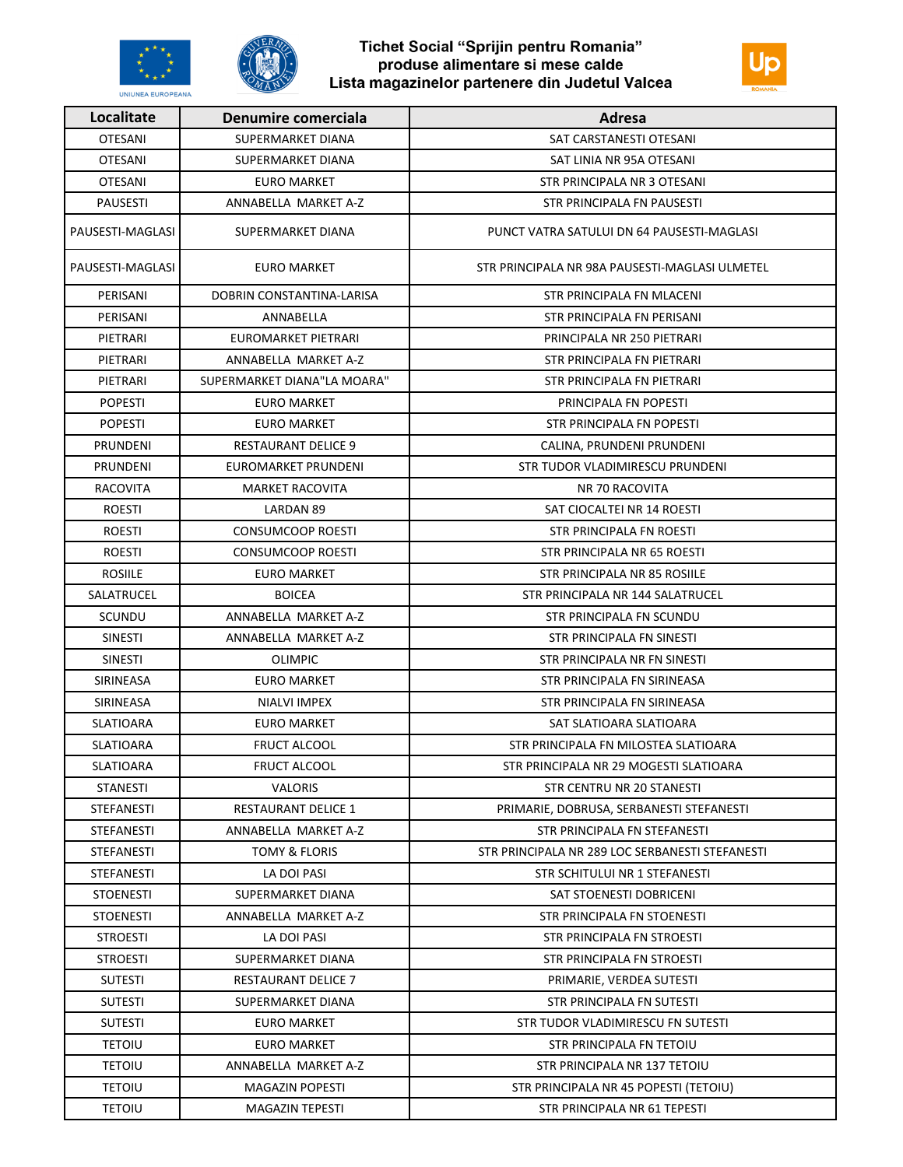





| Localitate        | Denumire comerciala         | Adresa                                          |
|-------------------|-----------------------------|-------------------------------------------------|
| <b>OTESANI</b>    | SUPERMARKET DIANA           | SAT CARSTANESTI OTESANI                         |
| <b>OTESANI</b>    | SUPERMARKET DIANA           | SAT LINIA NR 95A OTESANI                        |
| <b>OTESANI</b>    | <b>EURO MARKET</b>          | STR PRINCIPALA NR 3 OTESANI                     |
| <b>PAUSESTI</b>   | ANNABELLA MARKET A-Z        | STR PRINCIPALA FN PAUSESTI                      |
| PAUSESTI-MAGLASI  | SUPERMARKET DIANA           | PUNCT VATRA SATULUI DN 64 PAUSESTI-MAGLASI      |
| PAUSESTI-MAGLASI  | <b>EURO MARKET</b>          | STR PRINCIPALA NR 98A PAUSESTI-MAGLASI ULMETEL  |
| PERISANI          | DOBRIN CONSTANTINA-LARISA   | STR PRINCIPALA FN MLACENI                       |
| PERISANI          | ANNABELLA                   | STR PRINCIPALA FN PERISANI                      |
| PIETRARI          | EUROMARKET PIETRARI         | PRINCIPALA NR 250 PIETRARI                      |
| PIETRARI          | ANNABELLA MARKET A-Z        | STR PRINCIPALA FN PIETRARI                      |
| PIETRARI          | SUPERMARKET DIANA"LA MOARA" | STR PRINCIPALA FN PIETRARI                      |
| <b>POPESTI</b>    | <b>EURO MARKET</b>          | PRINCIPALA FN POPESTI                           |
| <b>POPESTI</b>    | EURO MARKET                 | STR PRINCIPALA FN POPESTI                       |
| <b>PRUNDENI</b>   | <b>RESTAURANT DELICE 9</b>  | CALINA, PRUNDENI PRUNDENI                       |
| <b>PRUNDENI</b>   | EUROMARKET PRUNDENI         | STR TUDOR VLADIMIRESCU PRUNDENI                 |
| RACOVITA          | <b>MARKET RACOVITA</b>      | NR 70 RACOVITA                                  |
| <b>ROESTI</b>     | LARDAN 89                   | SAT CIOCALTEI NR 14 ROESTI                      |
| <b>ROESTI</b>     | <b>CONSUMCOOP ROESTI</b>    | STR PRINCIPALA FN ROESTI                        |
| <b>ROESTI</b>     | CONSUMCOOP ROESTI           | STR PRINCIPALA NR 65 ROESTI                     |
| <b>ROSIILE</b>    | <b>EURO MARKET</b>          | STR PRINCIPALA NR 85 ROSIILE                    |
| SALATRUCEL        | <b>BOICEA</b>               | STR PRINCIPALA NR 144 SALATRUCEL                |
| SCUNDU            | ANNABELLA MARKET A-Z        | STR PRINCIPALA FN SCUNDU                        |
| <b>SINESTI</b>    | ANNABELLA MARKET A-Z        | STR PRINCIPALA FN SINESTI                       |
| <b>SINESTI</b>    | <b>OLIMPIC</b>              | STR PRINCIPALA NR FN SINESTI                    |
| <b>SIRINEASA</b>  | <b>EURO MARKET</b>          | STR PRINCIPALA FN SIRINEASA                     |
| SIRINEASA         | NIALVI IMPEX                | STR PRINCIPALA FN SIRINEASA                     |
| SLATIOARA         | EURO MARKET                 | SAT SLATIOARA SLATIOARA                         |
| SLATIOARA         | <b>FRUCT ALCOOL</b>         | STR PRINCIPALA FN MILOSTEA SLATIOARA            |
| SLATIOARA         | FRUCT ALCOOL                | STR PRINCIPALA NR 29 MOGESTI SLATIOARA          |
| <b>STANESTI</b>   | <b>VALORIS</b>              | STR CENTRU NR 20 STANESTI                       |
| <b>STEFANESTI</b> | <b>RESTAURANT DELICE 1</b>  | PRIMARIE, DOBRUSA, SERBANESTI STEFANESTI        |
| <b>STEFANESTI</b> | ANNABELLA MARKET A-Z        | STR PRINCIPALA FN STEFANESTI                    |
| <b>STEFANESTI</b> | TOMY & FLORIS               | STR PRINCIPALA NR 289 LOC SERBANESTI STEFANESTI |
| <b>STEFANESTI</b> | LA DOI PASI                 | STR SCHITULUI NR 1 STEFANESTI                   |
| <b>STOENESTI</b>  | SUPERMARKET DIANA           | SAT STOENESTI DOBRICENI                         |
| <b>STOENESTI</b>  | ANNABELLA MARKET A-Z        | STR PRINCIPALA FN STOENESTI                     |
| <b>STROESTI</b>   | LA DOI PASI                 | <b>STR PRINCIPALA FN STROESTI</b>               |
| <b>STROESTI</b>   | SUPERMARKET DIANA           | STR PRINCIPALA FN STROESTI                      |
| <b>SUTESTI</b>    | <b>RESTAURANT DELICE 7</b>  | PRIMARIE, VERDEA SUTESTI                        |
| <b>SUTESTI</b>    | SUPERMARKET DIANA           | STR PRINCIPALA FN SUTESTI                       |
| <b>SUTESTI</b>    | EURO MARKET                 | STR TUDOR VLADIMIRESCU FN SUTESTI               |
| <b>TETOIU</b>     | <b>EURO MARKET</b>          | STR PRINCIPALA FN TETOIU                        |
| <b>TETOIU</b>     | ANNABELLA MARKET A-Z        | STR PRINCIPALA NR 137 TETOIU                    |
| <b>TETOIU</b>     | <b>MAGAZIN POPESTI</b>      | STR PRINCIPALA NR 45 POPESTI (TETOIU)           |
| <b>TETOIU</b>     | MAGAZIN TEPESTI             | STR PRINCIPALA NR 61 TEPESTI                    |